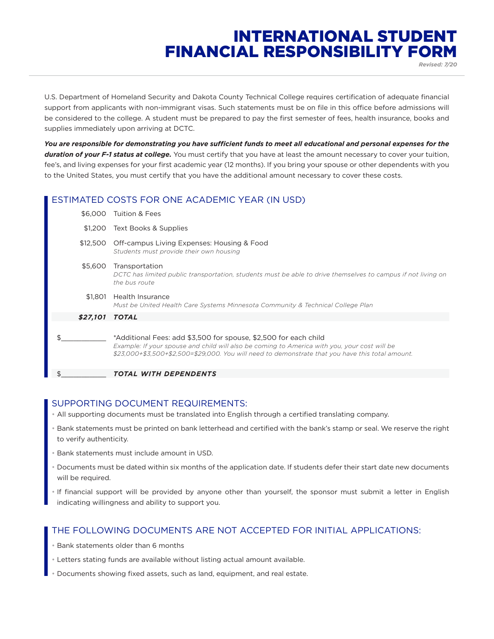# INTERNATIONAL STUDENT FINANCIAL RESPONSIBILITY FORM *Revised: 7/20*

U.S. Department of Homeland Security and Dakota County Technical College requires certification of adequate financial support from applicants with non-immigrant visas. Such statements must be on file in this office before admissions will be considered to the college. A student must be prepared to pay the first semester of fees, health insurance, books and supplies immediately upon arriving at DCTC.

*You are responsible for demonstrating you have sufficient funds to meet all educational and personal expenses for the duration of your F-1 status at college.* You must certify that you have at least the amount necessary to cover your tuition, fee's, and living expenses for your first academic year (12 months). If you bring your spouse or other dependents with you to the United States, you must certify that you have the additional amount necessary to cover these costs.

# ESTIMATED COSTS FOR ONE ACADEMIC YEAR (IN USD)

| \$6,000  | Tuition & Fees                                                                                                                                                                                                                                                       |
|----------|----------------------------------------------------------------------------------------------------------------------------------------------------------------------------------------------------------------------------------------------------------------------|
| \$1.200  | Text Books & Supplies                                                                                                                                                                                                                                                |
| \$12,500 | Off-campus Living Expenses: Housing & Food<br>Students must provide their own housing                                                                                                                                                                                |
| \$5,600  | Transportation<br>DCTC has limited public transportation, students must be able to drive themselves to campus if not living on<br>the bus route                                                                                                                      |
| \$1.801  | Health Insurance<br>Must be United Health Care Systems Minnesota Community & Technical College Plan                                                                                                                                                                  |
| \$27,101 | <b>TOTAL</b>                                                                                                                                                                                                                                                         |
| \$.      | *Additional Fees: add \$3,500 for spouse, \$2,500 for each child<br>Example: If your spouse and child will also be coming to America with you, your cost will be<br>\$23,000+\$3,500+\$2,500=\$29,000. You will need to demonstrate that you have this total amount. |
| \$       | TOTAL WITH DEPENDENTS                                                                                                                                                                                                                                                |

### SUPPORTING DOCUMENT REQUIREMENTS:

- All supporting documents must be translated into English through a certified translating company.
- Bank statements must be printed on bank letterhead and certified with the bank's stamp or seal. We reserve the right to verify authenticity.
- Bank statements must include amount in USD.
- Documents must be dated within six months of the application date. If students defer their start date new documents will be required.
- If financial support will be provided by anyone other than yourself, the sponsor must submit a letter in English indicating willingness and ability to support you.

### THE FOLLOWING DOCUMENTS ARE NOT ACCEPTED FOR INITIAL APPLICATIONS:

- Bank statements older than 6 months
- Letters stating funds are available without listing actual amount available.
- Documents showing fixed assets, such as land, equipment, and real estate.